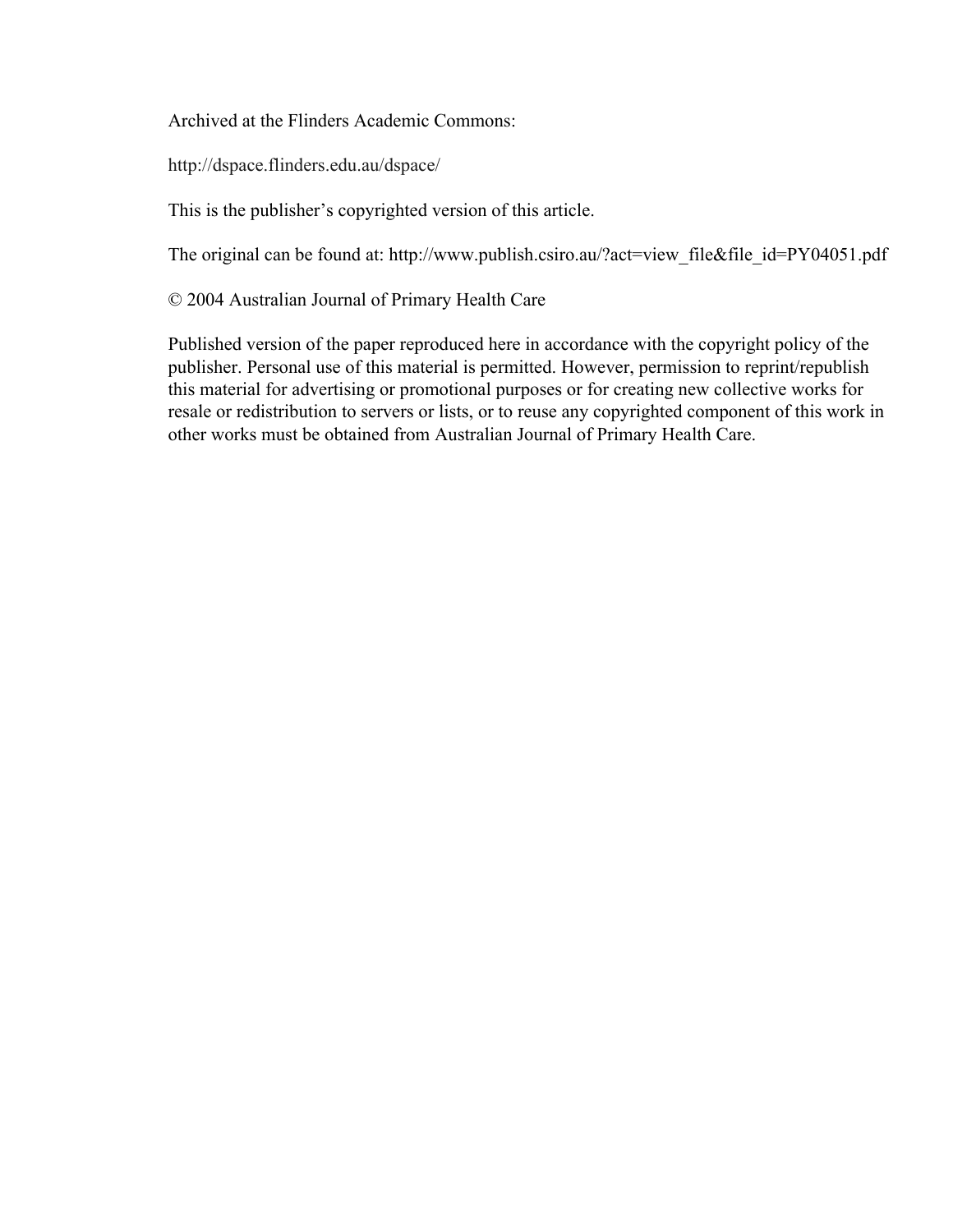Archived at the Flinders Academic Commons:

http://dspace.flinders.edu.au/dspace/

This is the publisher's copyrighted version of this article.

The original can be found at: http://www.publish.csiro.au/?act=view\_file&file\_id=PY04051.pdf

© 2004 Australian Journal of Primary Health Care

Published version of the paper reproduced here in accordance with the copyright policy of the publisher. Personal use of this material is permitted. However, permission to reprint/republish this material for advertising or promotional purposes or for creating new collective works for resale or redistribution to servers or lists, or to reuse any copyrighted component of this work in other works must be obtained from Australian Journal of Primary Health Care.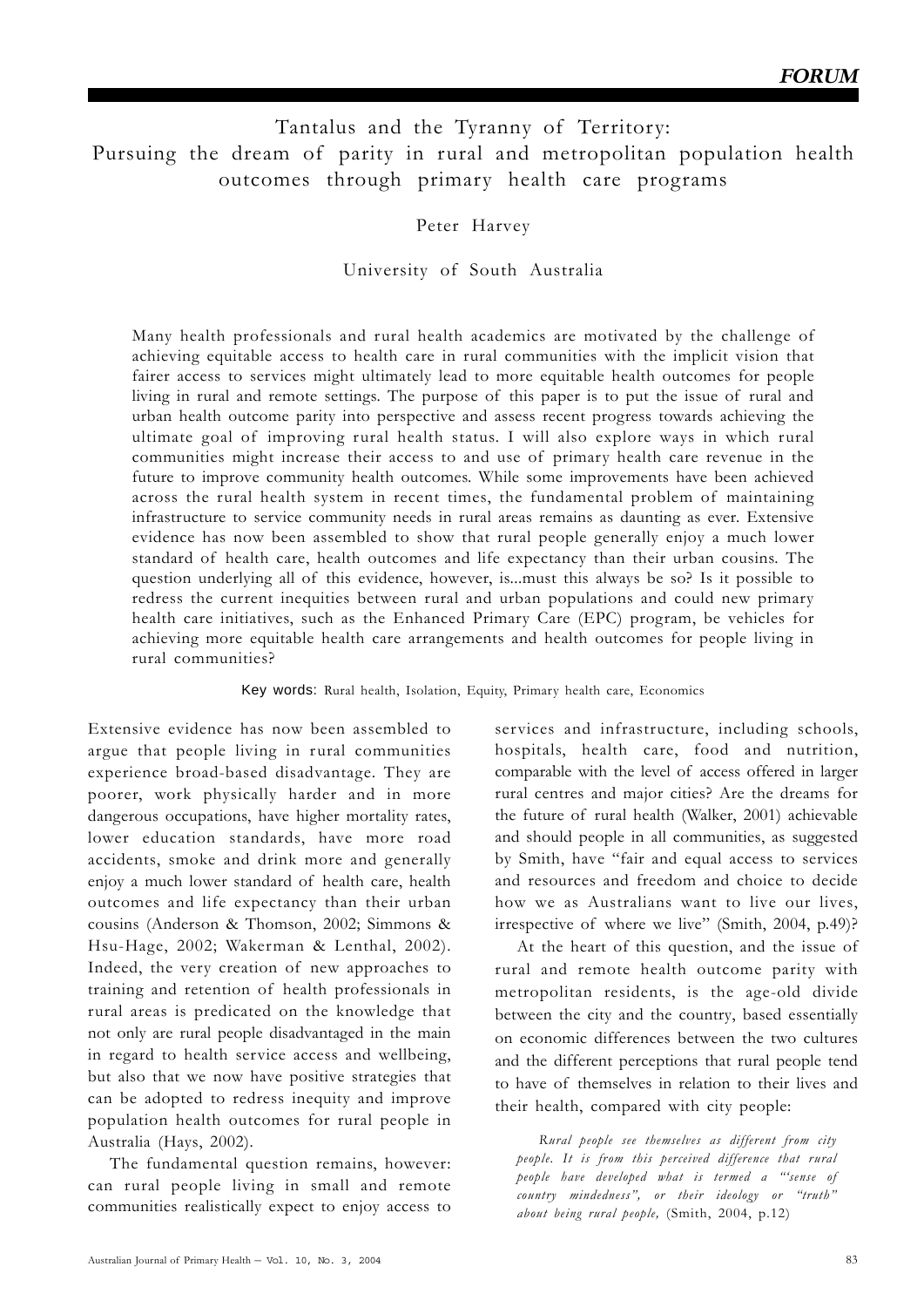# Tantalus and the Tyranny of Territory: Pursuing the dream of parity in rural and metropolitan population health outcomes through primary health care programs

Peter Harvey

University of South Australia

Many health professionals and rural health academics are motivated by the challenge of achieving equitable access to health care in rural communities with the implicit vision that fairer access to services might ultimately lead to more equitable health outcomes for people living in rural and remote settings. The purpose of this paper is to put the issue of rural and urban health outcome parity into perspective and assess recent progress towards achieving the ultimate goal of improving rural health status. I will also explore ways in which rural communities might increase their access to and use of primary health care revenue in the future to improve community health outcomes. While some improvements have been achieved across the rural health system in recent times, the fundamental problem of maintaining infrastructure to service community needs in rural areas remains as daunting as ever. Extensive evidence has now been assembled to show that rural people generally enjoy a much lower standard of health care, health outcomes and life expectancy than their urban cousins. The question underlying all of this evidence, however, is...must this always be so? Is it possible to redress the current inequities between rural and urban populations and could new primary health care initiatives, such as the Enhanced Primary Care (EPC) program, be vehicles for achieving more equitable health care arrangements and health outcomes for people living in rural communities?

Key words: Rural health, Isolation, Equity, Primary health care, Economics

Extensive evidence has now been assembled to argue that people living in rural communities experience broad-based disadvantage. They are poorer, work physically harder and in more dangerous occupations, have higher mortality rates, lower education standards, have more road accidents, smoke and drink more and generally enjoy a much lower standard of health care, health outcomes and life expectancy than their urban cousins (Anderson & Thomson, 2002; Simmons & Hsu-Hage, 2002; Wakerman & Lenthal, 2002). Indeed, the very creation of new approaches to training and retention of health professionals in rural areas is predicated on the knowledge that not only are rural people disadvantaged in the main in regard to health service access and wellbeing, but also that we now have positive strategies that can be adopted to redress inequity and improve population health outcomes for rural people in Australia (Hays, 2002).

The fundamental question remains, however: can rural people living in small and remote communities realistically expect to enjoy access to

services and infrastructure, including schools, hospitals, health care, food and nutrition, comparable with the level of access offered in larger rural centres and major cities? Are the dreams for the future of rural health (Walker, 2001) achievable and should people in all communities, as suggested by Smith, have "fair and equal access to services and resources and freedom and choice to decide how we as Australians want to live our lives, irrespective of where we live" (Smith, 2004, p.49)?

At the heart of this question, and the issue of rural and remote health outcome parity with metropolitan residents, is the age-old divide between the city and the country, based essentially on economic differences between the two cultures and the different perceptions that rural people tend to have of themselves in relation to their lives and their health, compared with city people:

*Rural people see themselves as different from city people. It is from this perceived difference that rural people have developed what is termed a "'sense of country mindedness", or their ideology or "truth" about being rural people,* (Smith, 2004, p.12)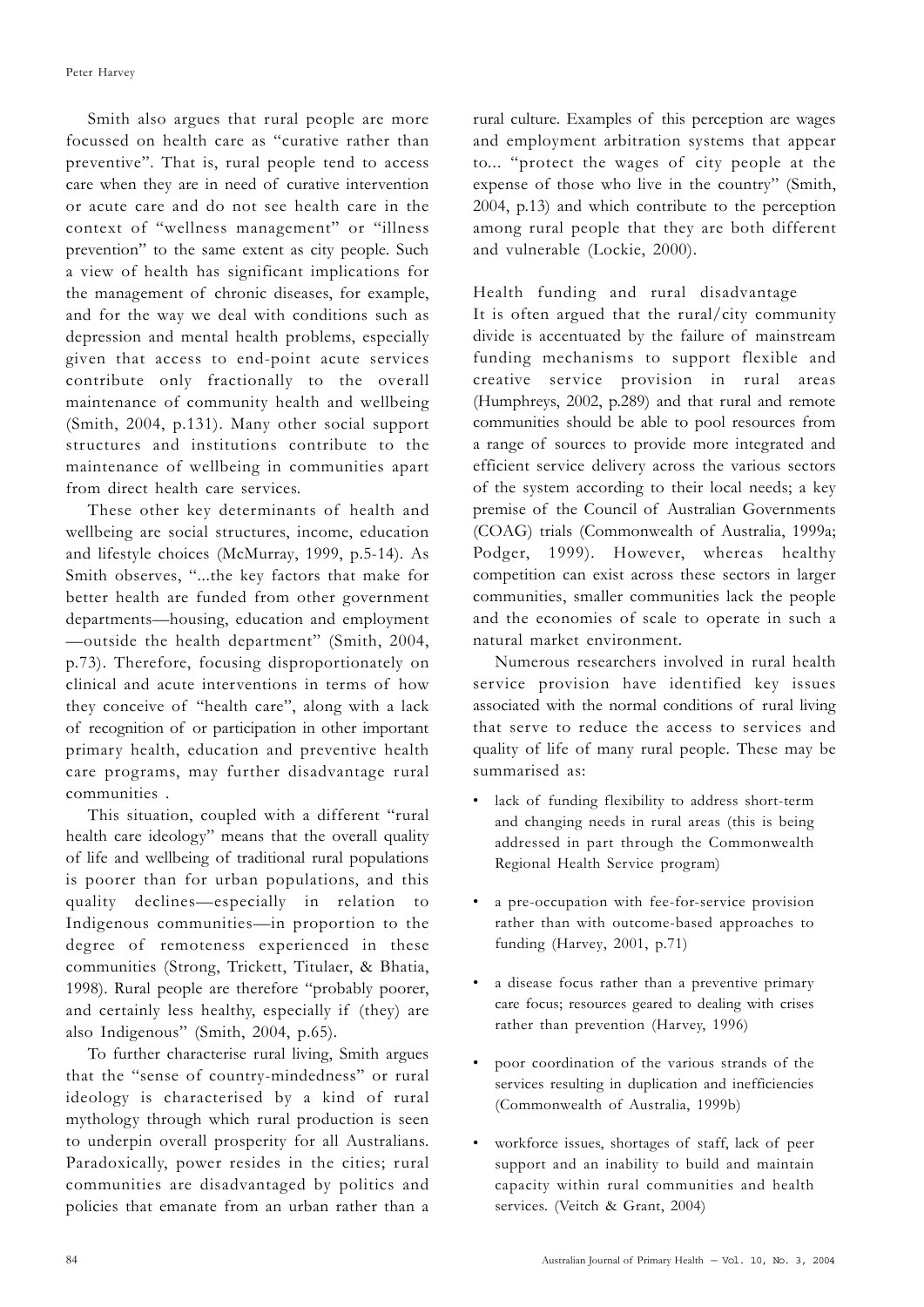Smith also argues that rural people are more focussed on health care as "curative rather than preventive". That is, rural people tend to access care when they are in need of curative intervention or acute care and do not see health care in the context of "wellness management" or "illness prevention" to the same extent as city people. Such a view of health has significant implications for the management of chronic diseases, for example, and for the way we deal with conditions such as depression and mental health problems, especially given that access to end-point acute services contribute only fractionally to the overall maintenance of community health and wellbeing (Smith, 2004, p.131). Many other social support structures and institutions contribute to the maintenance of wellbeing in communities apart from direct health care services.

These other key determinants of health and wellbeing are social structures, income, education and lifestyle choices (McMurray, 1999, p.5-14). As Smith observes, "...the key factors that make for better health are funded from other government departments—housing, education and employment —outside the health department" (Smith, 2004, p.73). Therefore, focusing disproportionately on clinical and acute interventions in terms of how they conceive of "health care", along with a lack of recognition of or participation in other important primary health, education and preventive health care programs, may further disadvantage rural communities .

This situation, coupled with a different "rural health care ideology" means that the overall quality of life and wellbeing of traditional rural populations is poorer than for urban populations, and this quality declines—especially in relation to Indigenous communities—in proportion to the degree of remoteness experienced in these communities (Strong, Trickett, Titulaer, & Bhatia, 1998). Rural people are therefore "probably poorer, and certainly less healthy, especially if (they) are also Indigenous" (Smith, 2004, p.65).

To further characterise rural living, Smith argues that the "sense of country-mindedness" or rural ideology is characterised by a kind of rural mythology through which rural production is seen to underpin overall prosperity for all Australians. Paradoxically, power resides in the cities; rural communities are disadvantaged by politics and policies that emanate from an urban rather than a rural culture. Examples of this perception are wages and employment arbitration systems that appear to... "protect the wages of city people at the expense of those who live in the country" (Smith, 2004, p.13) and which contribute to the perception among rural people that they are both different and vulnerable (Lockie, 2000).

## Health funding and rural disadvantage

It is often argued that the rural/city community divide is accentuated by the failure of mainstream funding mechanisms to support flexible and creative service provision in rural areas (Humphreys, 2002, p.289) and that rural and remote communities should be able to pool resources from a range of sources to provide more integrated and efficient service delivery across the various sectors of the system according to their local needs; a key premise of the Council of Australian Governments (COAG) trials (Commonwealth of Australia, 1999a; Podger, 1999). However, whereas healthy competition can exist across these sectors in larger communities, smaller communities lack the people and the economies of scale to operate in such a natural market environment.

Numerous researchers involved in rural health service provision have identified key issues associated with the normal conditions of rural living that serve to reduce the access to services and quality of life of many rural people. These may be summarised as:

- lack of funding flexibility to address short-term and changing needs in rural areas (this is being addressed in part through the Commonwealth Regional Health Service program)
- a pre-occupation with fee-for-service provision rather than with outcome-based approaches to funding (Harvey, 2001, p.71)
- a disease focus rather than a preventive primary care focus; resources geared to dealing with crises rather than prevention (Harvey, 1996)
- poor coordination of the various strands of the services resulting in duplication and inefficiencies (Commonwealth of Australia, 1999b)
- workforce issues, shortages of staff, lack of peer support and an inability to build and maintain capacity within rural communities and health services. (Veitch & Grant, 2004)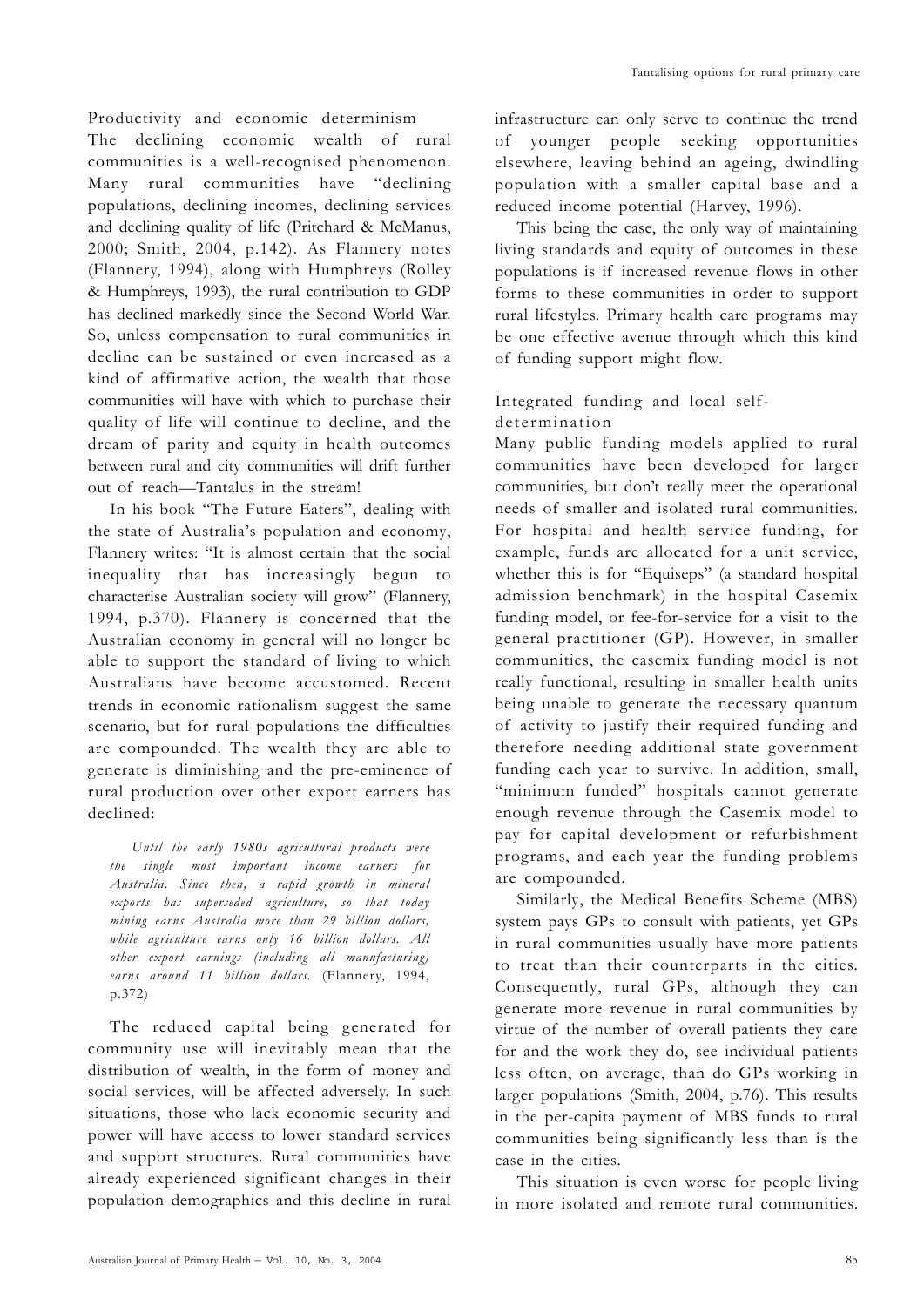Productivity and economic determinism

The declining economic wealth of rural communities is a well-recognised phenomenon. Many rural communities have "declining populations, declining incomes, declining services and declining quality of life (Pritchard & McManus, 2000; Smith, 2004, p.142). As Flannery notes (Flannery, 1994), along with Humphreys (Rolley & Humphreys, 1993), the rural contribution to GDP has declined markedly since the Second World War. So, unless compensation to rural communities in decline can be sustained or even increased as a kind of affirmative action, the wealth that those communities will have with which to purchase their quality of life will continue to decline, and the dream of parity and equity in health outcomes between rural and city communities will drift further out of reach—Tantalus in the stream!

In his book "The Future Eaters", dealing with the state of Australia's population and economy, Flannery writes: "It is almost certain that the social inequality that has increasingly begun to characterise Australian society will grow" (Flannery, 1994, p.370). Flannery is concerned that the Australian economy in general will no longer be able to support the standard of living to which Australians have become accustomed. Recent trends in economic rationalism suggest the same scenario, but for rural populations the difficulties are compounded. The wealth they are able to generate is diminishing and the pre-eminence of rural production over other export earners has declined:

*Until the early 1980s agricultural products were the single most important income earners for Australia. Since then, a rapid growth in mineral exports has superseded agriculture, so that today mining earns Australia more than 29 billion dollars, while agriculture earns only 16 billion dollars. All other export earnings (including all manufacturing) earns around 11 billion dollars.* (Flannery, 1994, p.372)

The reduced capital being generated for community use will inevitably mean that the distribution of wealth, in the form of money and social services, will be affected adversely. In such situations, those who lack economic security and power will have access to lower standard services and support structures. Rural communities have already experienced significant changes in their population demographics and this decline in rural infrastructure can only serve to continue the trend of younger people seeking opportunities elsewhere, leaving behind an ageing, dwindling population with a smaller capital base and a reduced income potential (Harvey, 1996).

This being the case, the only way of maintaining living standards and equity of outcomes in these populations is if increased revenue flows in other forms to these communities in order to support rural lifestyles. Primary health care programs may be one effective avenue through which this kind of funding support might flow.

# Integrated funding and local selfdetermination

Many public funding models applied to rural communities have been developed for larger communities, but don't really meet the operational needs of smaller and isolated rural communities. For hospital and health service funding, for example, funds are allocated for a unit service, whether this is for "Equiseps" (a standard hospital admission benchmark) in the hospital Casemix funding model, or fee-for-service for a visit to the general practitioner (GP). However, in smaller communities, the casemix funding model is not really functional, resulting in smaller health units being unable to generate the necessary quantum of activity to justify their required funding and therefore needing additional state government funding each year to survive. In addition, small, "minimum funded" hospitals cannot generate enough revenue through the Casemix model to pay for capital development or refurbishment programs, and each year the funding problems are compounded.

Similarly, the Medical Benefits Scheme (MBS) system pays GPs to consult with patients, yet GPs in rural communities usually have more patients to treat than their counterparts in the cities. Consequently, rural GPs, although they can generate more revenue in rural communities by virtue of the number of overall patients they care for and the work they do, see individual patients less often, on average, than do GPs working in larger populations (Smith, 2004, p.76). This results in the per-capita payment of MBS funds to rural communities being significantly less than is the case in the cities.

This situation is even worse for people living in more isolated and remote rural communities.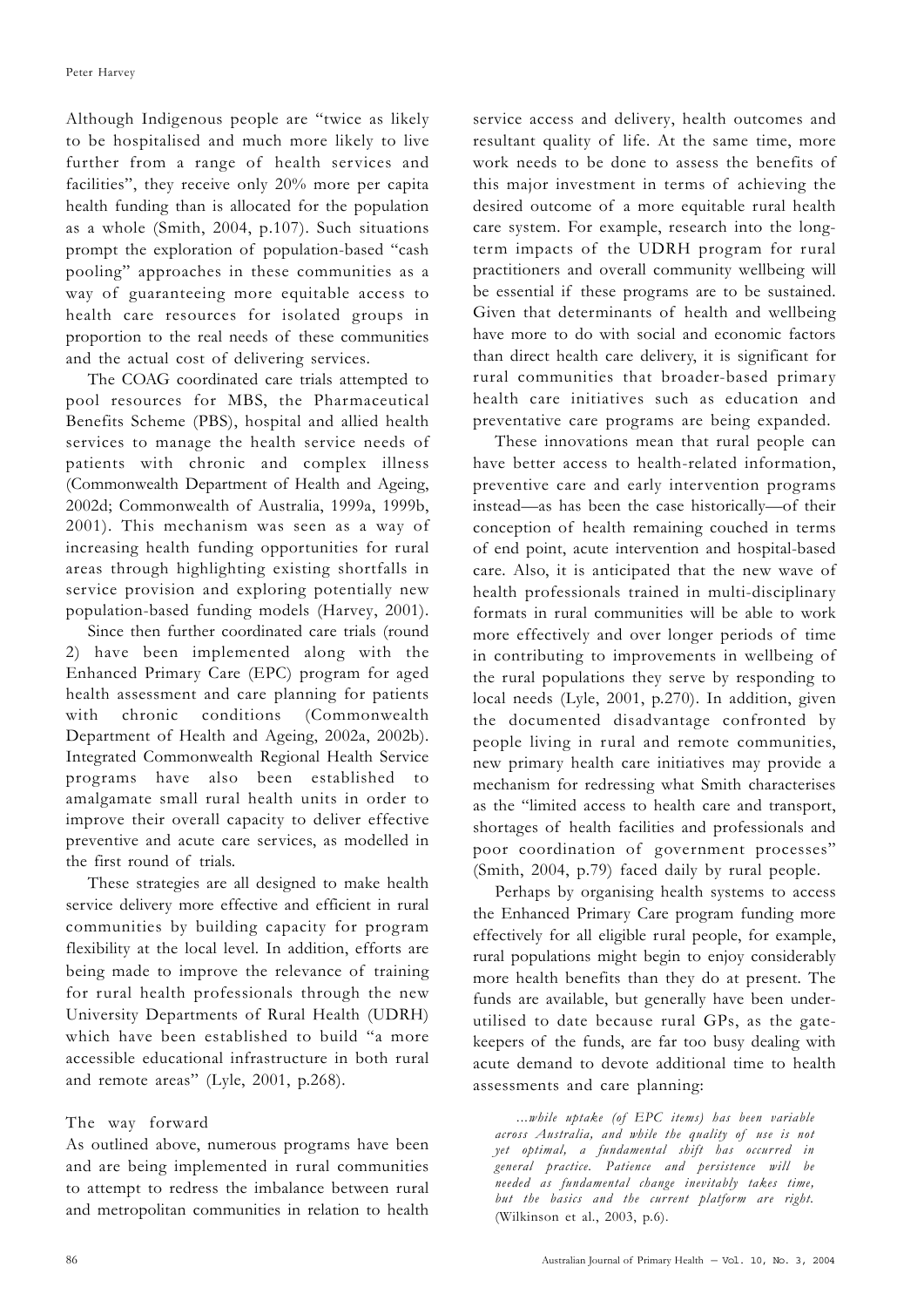Although Indigenous people are "twice as likely to be hospitalised and much more likely to live further from a range of health services and facilities", they receive only 20% more per capita health funding than is allocated for the population as a whole (Smith, 2004, p.107). Such situations prompt the exploration of population-based "cash pooling" approaches in these communities as a way of guaranteeing more equitable access to health care resources for isolated groups in proportion to the real needs of these communities and the actual cost of delivering services.

The COAG coordinated care trials attempted to pool resources for MBS, the Pharmaceutical Benefits Scheme (PBS), hospital and allied health services to manage the health service needs of patients with chronic and complex illness (Commonwealth Department of Health and Ageing, 2002d; Commonwealth of Australia, 1999a, 1999b, 2001). This mechanism was seen as a way of increasing health funding opportunities for rural areas through highlighting existing shortfalls in service provision and exploring potentially new population-based funding models (Harvey, 2001).

Since then further coordinated care trials (round 2) have been implemented along with the Enhanced Primary Care (EPC) program for aged health assessment and care planning for patients with chronic conditions (Commonwealth Department of Health and Ageing, 2002a, 2002b). Integrated Commonwealth Regional Health Service programs have also been established to amalgamate small rural health units in order to improve their overall capacity to deliver effective preventive and acute care services, as modelled in the first round of trials.

These strategies are all designed to make health service delivery more effective and efficient in rural communities by building capacity for program flexibility at the local level. In addition, efforts are being made to improve the relevance of training for rural health professionals through the new University Departments of Rural Health (UDRH) which have been established to build "a more accessible educational infrastructure in both rural and remote areas" (Lyle, 2001, p.268).

## The way forward

As outlined above, numerous programs have been and are being implemented in rural communities to attempt to redress the imbalance between rural and metropolitan communities in relation to health

service access and delivery, health outcomes and resultant quality of life. At the same time, more work needs to be done to assess the benefits of this major investment in terms of achieving the desired outcome of a more equitable rural health care system. For example, research into the longterm impacts of the UDRH program for rural practitioners and overall community wellbeing will be essential if these programs are to be sustained. Given that determinants of health and wellbeing have more to do with social and economic factors than direct health care delivery, it is significant for rural communities that broader-based primary health care initiatives such as education and preventative care programs are being expanded.

These innovations mean that rural people can have better access to health-related information, preventive care and early intervention programs instead—as has been the case historically—of their conception of health remaining couched in terms of end point, acute intervention and hospital-based care. Also, it is anticipated that the new wave of health professionals trained in multi-disciplinary formats in rural communities will be able to work more effectively and over longer periods of time in contributing to improvements in wellbeing of the rural populations they serve by responding to local needs (Lyle, 2001, p.270). In addition, given the documented disadvantage confronted by people living in rural and remote communities, new primary health care initiatives may provide a mechanism for redressing what Smith characterises as the "limited access to health care and transport, shortages of health facilities and professionals and poor coordination of government processes" (Smith, 2004, p.79) faced daily by rural people.

Perhaps by organising health systems to access the Enhanced Primary Care program funding more effectively for all eligible rural people, for example, rural populations might begin to enjoy considerably more health benefits than they do at present. The funds are available, but generally have been underutilised to date because rural GPs, as the gatekeepers of the funds, are far too busy dealing with acute demand to devote additional time to health assessments and care planning:

*...while uptake (of EPC items) has been variable across Australia, and while the quality of use is not yet optimal, a fundamental shift has occurred in general practice. Patience and persistence will be needed as fundamental change inevitably takes time, but the basics and the current platform are right.* (Wilkinson et al., 2003, p.6).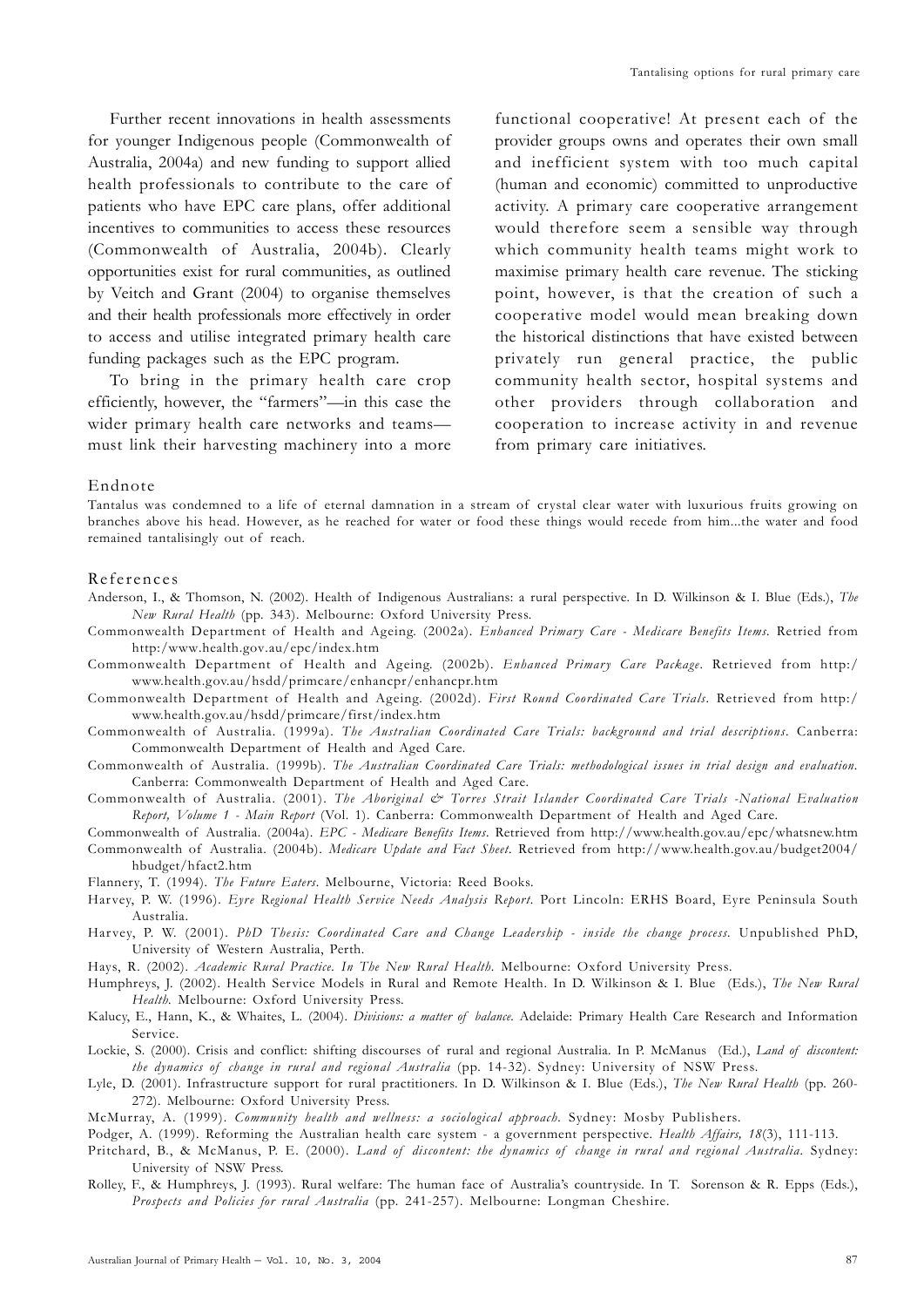Further recent innovations in health assessments for younger Indigenous people (Commonwealth of Australia, 2004a) and new funding to support allied health professionals to contribute to the care of patients who have EPC care plans, offer additional incentives to communities to access these resources (Commonwealth of Australia, 2004b). Clearly opportunities exist for rural communities, as outlined by Veitch and Grant (2004) to organise themselves and their health professionals more effectively in order to access and utilise integrated primary health care funding packages such as the EPC program.

To bring in the primary health care crop efficiently, however, the "farmers"—in this case the wider primary health care networks and teams must link their harvesting machinery into a more

functional cooperative! At present each of the provider groups owns and operates their own small and inefficient system with too much capital (human and economic) committed to unproductive activity. A primary care cooperative arrangement would therefore seem a sensible way through which community health teams might work to maximise primary health care revenue. The sticking point, however, is that the creation of such a cooperative model would mean breaking down the historical distinctions that have existed between privately run general practice, the public community health sector, hospital systems and other providers through collaboration and cooperation to increase activity in and revenue from primary care initiatives.

#### Endnote

Tantalus was condemned to a life of eternal damnation in a stream of crystal clear water with luxurious fruits growing on branches above his head. However, as he reached for water or food these things would recede from him...the water and food remained tantalisingly out of reach.

### References

- Anderson, I., & Thomson, N. (2002). Health of Indigenous Australians: a rural perspective. In D. Wilkinson & I. Blue (Eds.), *The New Rural Health* (pp. 343). Melbourne: Oxford University Press.
- Commonwealth Department of Health and Ageing. (2002a). *Enhanced Primary Care Medicare Benefits Items.* Retried from http:/www.health.gov.au/epc/index.htm
- Commonwealth Department of Health and Ageing. (2002b). *Enhanced Primary Care Package*. Retrieved from http:/ www.health.gov.au/hsdd/primcare/enhancpr/enhancpr.htm
- Commonwealth Department of Health and Ageing. (2002d). *First Round Coordinated Care Trials*. Retrieved from http:/ www.health.gov.au/hsdd/primcare/first/index.htm
- Commonwealth of Australia. (1999a). *The Australian Coordinated Care Trials: background and trial descriptions*. Canberra: Commonwealth Department of Health and Aged Care.
- Commonwealth of Australia. (1999b). *The Australian Coordinated Care Trials: methodological issues in trial design and evaluation.* Canberra: Commonwealth Department of Health and Aged Care.
- Commonwealth of Australia. (2001). *The Aboriginal & Torres Strait Islander Coordinated Care Trials -National Evaluation Report, Volume 1 - Main Report* (Vol. 1). Canberra: Commonwealth Department of Health and Aged Care.
- Commonwealth of Australia. (2004a). *EPC Medicare Benefits Items*. Retrieved from http://www.health.gov.au/epc/whatsnew.htm Commonwealth of Australia. (2004b). *Medicare Update and Fact Sheet*. Retrieved from http://www.health.gov.au/budget2004/ hbudget/hfact2.htm
- Flannery, T. (1994). *The Future Eaters*. Melbourne, Victoria: Reed Books.
- Harvey, P. W. (1996). *Eyre Regional Health Service Needs Analysis Report*. Port Lincoln: ERHS Board, Eyre Peninsula South Australia.
- Harvey, P. W. (2001). *PhD Thesis: Coordinated Care and Change Leadership inside the change process.* Unpublished PhD, University of Western Australia, Perth.
- Hays, R. (2002). *Academic Rural Practice. In The New Rural Health.* Melbourne: Oxford University Press.
- Humphreys, J. (2002). Health Service Models in Rural and Remote Health. In D. Wilkinson & I. Blue (Eds.), *The New Rural Health.* Melbourne: Oxford University Press.
- Kalucy, E., Hann, K., & Whaites, L. (2004). *Divisions: a matter of balance.* Adelaide: Primary Health Care Research and Information Service.
- Lockie, S. (2000). Crisis and conflict: shifting discourses of rural and regional Australia. In P. McManus (Ed.), *Land of discontent: the dynamics of change in rural and regional Australia* (pp. 14-32). Sydney: University of NSW Press.
- Lyle, D. (2001). Infrastructure support for rural practitioners. In D. Wilkinson & I. Blue (Eds.), *The New Rural Health* (pp. 260- 272). Melbourne: Oxford University Press.
- McMurray, A. (1999). *Community health and wellness: a sociological approach.* Sydney: Mosby Publishers.
- Podger, A. (1999). Reforming the Australian health care system a government perspective. *Health Affairs, 18*(3), 111-113.
- Pritchard, B., & McManus, P. E. (2000). *Land of discontent: the dynamics of change in rural and regional Australia.* Sydney: University of NSW Press.
- Rolley, F., & Humphreys, J. (1993). Rural welfare: The human face of Australia's countryside. In T. Sorenson & R. Epps (Eds.), *Prospects and Policies for rural Australia* (pp. 241-257). Melbourne: Longman Cheshire.